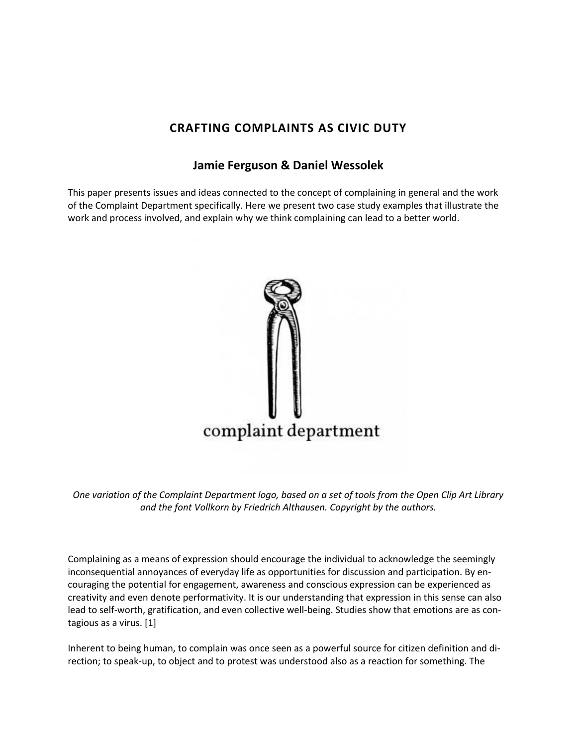## **CRAFTING COMPLAINTS AS CIVIC DUTY**

## **[Jamie Ferguson](http://isea2011.sabanciuniv.edu/-325.html) & [Daniel Wessolek](http://isea2011.sabanciuniv.edu/-100.html)**

This paper presents issues and ideas connected to the concept of complaining in general and the work of the Complaint Department specifically. Here we present two case study examples that illustrate the work and process involved, and explain why we think complaining can lead to a better world.



*One variation of the Complaint Department logo, based on a set of tools from the Open Clip Art Library and the font Vollkorn by Friedrich Althausen. Copyright by the authors.*

Complaining as a means of expression should encourage the individual to acknowledge the seemingly inconsequential annoyances of everyday life as opportunities for discussion and participation. By encouraging the potential for engagement, awareness and conscious expression can be experienced as creativity and even denote performativity. It is our understanding that expression in this sense can also lead to self-worth, gratification, and even collective well-being. Studies show that emotions are as contagious as a virus. [1]

Inherent to being human, to complain was once seen as a powerful source for citizen definition and direction; to speak-up, to object and to protest was understood also as a reaction for something. The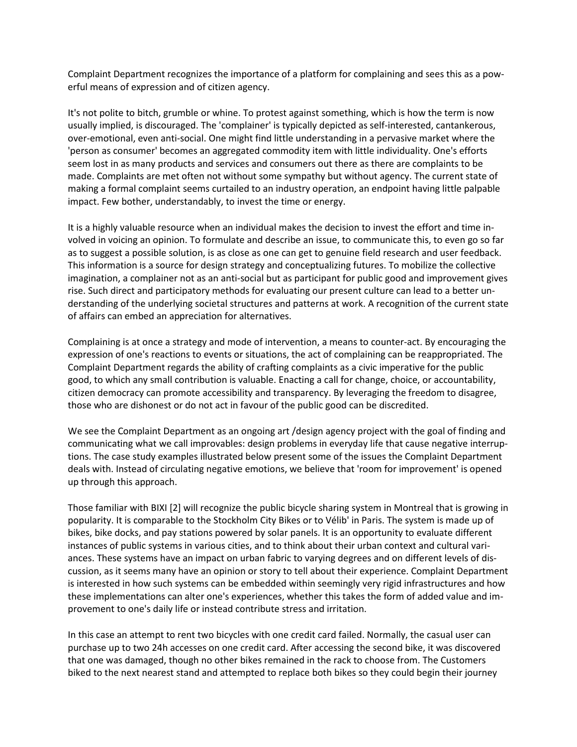Complaint Department recognizes the importance of a platform for complaining and sees this as a powerful means of expression and of citizen agency.

It's not polite to bitch, grumble or whine. To protest against something, which is how the term is now usually implied, is discouraged. The 'complainer' is typically depicted as self-interested, cantankerous, over-emotional, even anti-social. One might find little understanding in a pervasive market where the 'person as consumer' becomes an aggregated commodity item with little individuality. One's efforts seem lost in as many products and services and consumers out there as there are complaints to be made. Complaints are met often not without some sympathy but without agency. The current state of making a formal complaint seems curtailed to an industry operation, an endpoint having little palpable impact. Few bother, understandably, to invest the time or energy.

It is a highly valuable resource when an individual makes the decision to invest the effort and time involved in voicing an opinion. To formulate and describe an issue, to communicate this, to even go so far as to suggest a possible solution, is as close as one can get to genuine field research and user feedback. This information is a source for design strategy and conceptualizing futures. To mobilize the collective imagination, a complainer not as an anti-social but as participant for public good and improvement gives rise. Such direct and participatory methods for evaluating our present culture can lead to a better understanding of the underlying societal structures and patterns at work. A recognition of the current state of affairs can embed an appreciation for alternatives.

Complaining is at once a strategy and mode of intervention, a means to counter-act. By encouraging the expression of one's reactions to events or situations, the act of complaining can be reappropriated. The Complaint Department regards the ability of crafting complaints as a civic imperative for the public good, to which any small contribution is valuable. Enacting a call for change, choice, or accountability, citizen democracy can promote accessibility and transparency. By leveraging the freedom to disagree, those who are dishonest or do not act in favour of the public good can be discredited.

We see the Complaint Department as an ongoing art /design agency project with the goal of finding and communicating what we call improvables: design problems in everyday life that cause negative interruptions. The case study examples illustrated below present some of the issues the Complaint Department deals with. Instead of circulating negative emotions, we believe that 'room for improvement' is opened up through this approach.

Those familiar with BIXI [2] will recognize the public bicycle sharing system in Montreal that is growing in popularity. It is comparable to the Stockholm City Bikes or to Vélib' in Paris. The system is made up of bikes, bike docks, and pay stations powered by solar panels. It is an opportunity to evaluate different instances of public systems in various cities, and to think about their urban context and cultural variances. These systems have an impact on urban fabric to varying degrees and on different levels of discussion, as it seems many have an opinion or story to tell about their experience. Complaint Department is interested in how such systems can be embedded within seemingly very rigid infrastructures and how these implementations can alter one's experiences, whether this takes the form of added value and improvement to one's daily life or instead contribute stress and irritation.

In this case an attempt to rent two bicycles with one credit card failed. Normally, the casual user can purchase up to two 24h accesses on one credit card. After accessing the second bike, it was discovered that one was damaged, though no other bikes remained in the rack to choose from. The Customers biked to the next nearest stand and attempted to replace both bikes so they could begin their journey